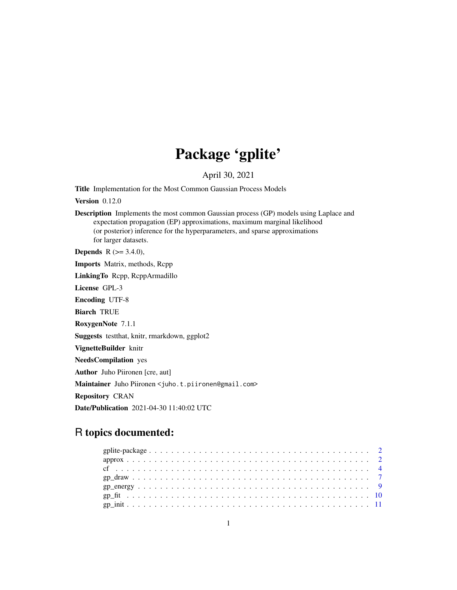# Package 'gplite'

April 30, 2021

Title Implementation for the Most Common Gaussian Process Models

Version 0.12.0

Description Implements the most common Gaussian process (GP) models using Laplace and expectation propagation (EP) approximations, maximum marginal likelihood (or posterior) inference for the hyperparameters, and sparse approximations for larger datasets.

**Depends** R  $(>= 3.4.0)$ ,

Imports Matrix, methods, Rcpp

LinkingTo Rcpp, RcppArmadillo

License GPL-3

Encoding UTF-8

Biarch TRUE

RoxygenNote 7.1.1

Suggests testthat, knitr, rmarkdown, ggplot2

VignetteBuilder knitr

NeedsCompilation yes

Author Juho Piironen [cre, aut]

Maintainer Juho Piironen <juho.t.piironen@gmail.com>

Repository CRAN

Date/Publication 2021-04-30 11:40:02 UTC

# R topics documented: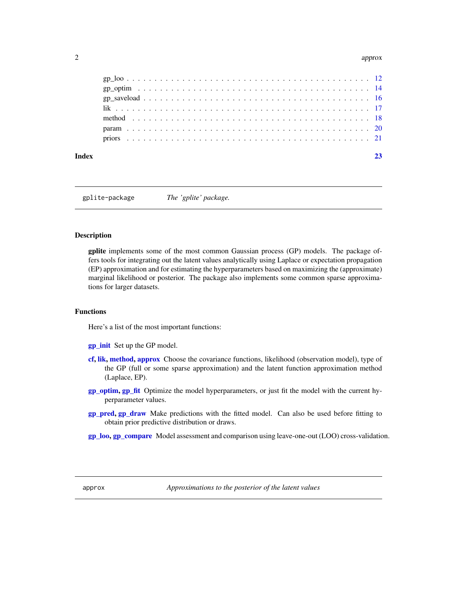#### <span id="page-1-0"></span> $2\,$  approx

#### **Index** [23](#page-22-0)

gplite-package *The 'gplite' package.*

#### Description

gplite implements some of the most common Gaussian process (GP) models. The package offers tools for integrating out the latent values analytically using Laplace or expectation propagation (EP) approximation and for estimating the hyperparameters based on maximizing the (approximate) marginal likelihood or posterior. The package also implements some common sparse approximations for larger datasets.

# Functions

Here's a list of the most important functions:

[gp\\_init](#page-10-1) Set up the GP model.

- [cf,](#page-3-1) [lik,](#page-16-1) [method,](#page-17-1) [approx](#page-1-1) Choose the covariance functions, likelihood (observation model), type of the GP (full or some sparse approximation) and the latent function approximation method (Laplace, EP).
- [gp\\_optim,](#page-13-1) [gp\\_fit](#page-9-1) Optimize the model hyperparameters, or just fit the model with the current hyperparameter values.
- [gp\\_pred,](#page-6-1) [gp\\_draw](#page-6-2) Make predictions with the fitted model. Can also be used before fitting to obtain prior predictive distribution or draws.
- [gp\\_loo,](#page-11-1) [gp\\_compare](#page-11-2) Model assessment and comparison using leave-one-out (LOO) cross-validation.

<span id="page-1-1"></span>approx *Approximations to the posterior of the latent values*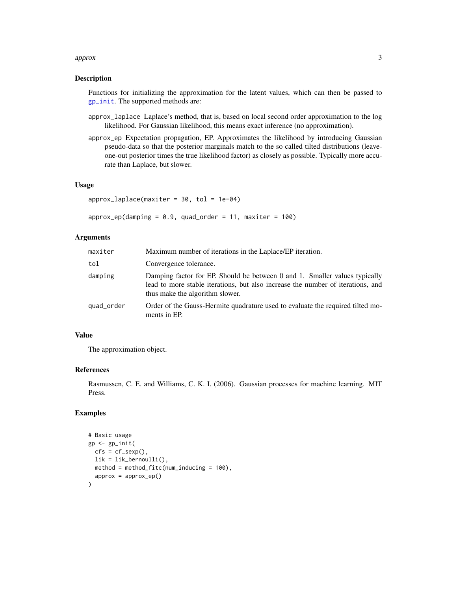#### approx 3

#### Description

Functions for initializing the approximation for the latent values, which can then be passed to [gp\\_init](#page-10-1). The supported methods are:

- approx\_laplace Laplace's method, that is, based on local second order approximation to the log likelihood. For Gaussian likelihood, this means exact inference (no approximation).
- approx\_ep Expectation propagation, EP. Approximates the likelihood by introducing Gaussian pseudo-data so that the posterior marginals match to the so called tilted distributions (leaveone-out posterior times the true likelihood factor) as closely as possible. Typically more accurate than Laplace, but slower.

#### Usage

```
approx\_laplace(maxiter = 30, tol = 1e-04)
```

```
approx\_ep(damping = 0.9, quad\_order = 11, maxiter = 100)
```
# Arguments

| maxiter    | Maximum number of iterations in the Laplace/EP iteration.                                                                                                                                        |
|------------|--------------------------------------------------------------------------------------------------------------------------------------------------------------------------------------------------|
| tol        | Convergence tolerance.                                                                                                                                                                           |
| damping    | Damping factor for EP. Should be between 0 and 1. Smaller values typically<br>lead to more stable iterations, but also increase the number of iterations, and<br>thus make the algorithm slower. |
| quad_order | Order of the Gauss-Hermite quadrature used to evaluate the required tilted mo-<br>ments in EP.                                                                                                   |

# Value

The approximation object.

#### References

Rasmussen, C. E. and Williams, C. K. I. (2006). Gaussian processes for machine learning. MIT Press.

```
# Basic usage
gp <- gp_init(
  cfs = cf\_sexp(),
  lik = lik_bernoulli(),
  method = method_fitc(num_inducing = 100),
  approx = approx_ep()
\mathcal{L}
```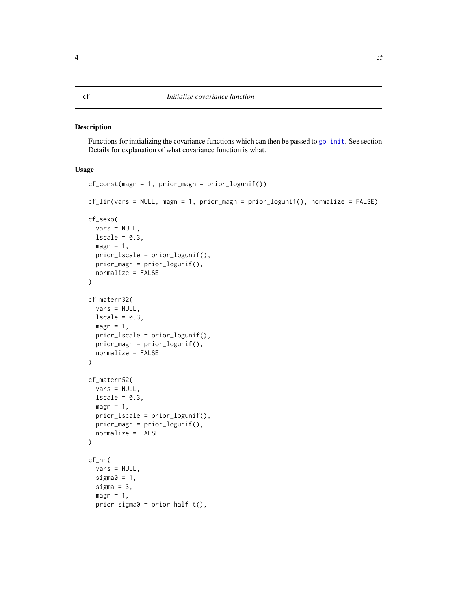#### <span id="page-3-1"></span><span id="page-3-0"></span>Description

Functions for initializing the covariance functions which can then be passed to [gp\\_init](#page-10-1). See section Details for explanation of what covariance function is what.

#### Usage

```
cf_const(magn = 1, prior_magn = prior_logunif())
cf_lin(vars = NULL, magn = 1, prior_magn = prior_logunif(), normalize = FALSE)
cf_sexp(
  vars = NULL,
  lscale = 0.3,magn = 1,prior_lscale = prior_logunif(),
 prior_magn = prior_logunif(),
  normalize = FALSE
)
cf_matern32(
  vars = NULL,lscale = 0.3,magn = 1,
  prior_lscale = prior_logunif(),
 prior_magn = prior_logunif(),
 normalize = FALSE
\lambdacf_matern52(
  vars = NULL,
  lscale = 0.3,magn = 1,
 prior_lscale = prior_logunif(),
  prior_magn = prior_logunif(),
  normalize = FALSE
)
cf_nn(
  vars = NULL,
  sigma0 = 1,
  sigma = 3,
  magn = 1,
  prior\_sigma = prior\_half_t(),
```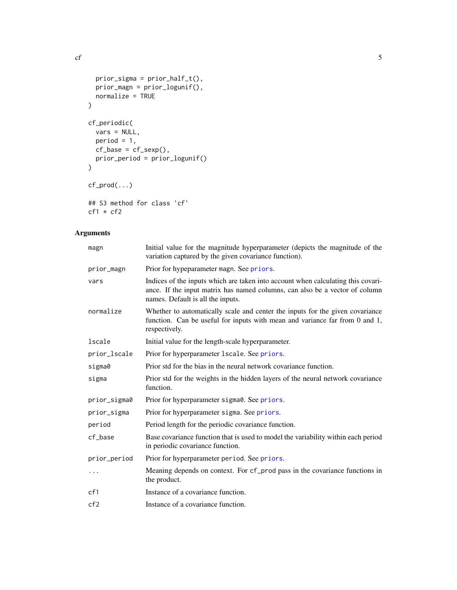```
prior\_sigma = prior\_half_t(),prior_magn = prior_logunif(),
  normalize = TRUE
\mathcal{L}cf_periodic(
  vars = NULL,period = 1,
  cf\_base = cf\_sexp(),
  prior_period = prior_logunif()
\mathcal{L}cf_prod(...)
## S3 method for class 'cf'
cf1 * cf2
```
# Arguments

| magn            | Initial value for the magnitude hyperparameter (depicts the magnitude of the<br>variation captured by the given covariance function).                                                                |
|-----------------|------------------------------------------------------------------------------------------------------------------------------------------------------------------------------------------------------|
| prior_magn      | Prior for hypeparameter magn. See priors.                                                                                                                                                            |
| vars            | Indices of the inputs which are taken into account when calculating this covari-<br>ance. If the input matrix has named columns, can also be a vector of column<br>names. Default is all the inputs. |
| normalize       | Whether to automatically scale and center the inputs for the given covariance<br>function. Can be useful for inputs with mean and variance far from 0 and 1,<br>respectively.                        |
| lscale          | Initial value for the length-scale hyperparameter.                                                                                                                                                   |
| prior_lscale    | Prior for hyperparameter 1scale. See priors.                                                                                                                                                         |
| sigma0          | Prior std for the bias in the neural network covariance function.                                                                                                                                    |
| sigma           | Prior std for the weights in the hidden layers of the neural network covariance<br>function.                                                                                                         |
| prior_sigma0    | Prior for hyperparameter sigma0. See priors.                                                                                                                                                         |
| prior_sigma     | Prior for hyperparameter sigma. See priors.                                                                                                                                                          |
| period          | Period length for the periodic covariance function.                                                                                                                                                  |
| cf_base         | Base covariance function that is used to model the variability within each period<br>in periodic covariance function.                                                                                |
| prior_period    | Prior for hyperparameter period. See priors.                                                                                                                                                         |
| $\cdots$        | Meaning depends on context. For cf_prod pass in the covariance functions in<br>the product.                                                                                                          |
| cf1             | Instance of a covariance function.                                                                                                                                                                   |
| cf <sub>2</sub> | Instance of a covariance function.                                                                                                                                                                   |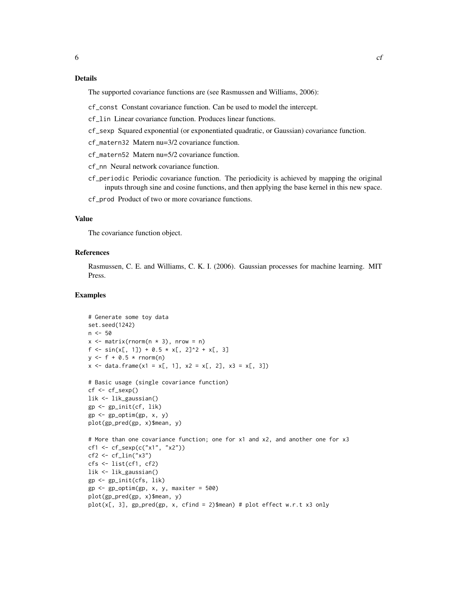# Details

The supported covariance functions are (see Rasmussen and Williams, 2006):

cf\_const Constant covariance function. Can be used to model the intercept.

cf\_lin Linear covariance function. Produces linear functions.

cf\_sexp Squared exponential (or exponentiated quadratic, or Gaussian) covariance function.

cf\_matern32 Matern nu=3/2 covariance function.

cf\_matern52 Matern nu=5/2 covariance function.

cf\_nn Neural network covariance function.

cf\_periodic Periodic covariance function. The periodicity is achieved by mapping the original inputs through sine and cosine functions, and then applying the base kernel in this new space.

cf\_prod Product of two or more covariance functions.

#### Value

The covariance function object.

#### References

Rasmussen, C. E. and Williams, C. K. I. (2006). Gaussian processes for machine learning. MIT Press.

```
# Generate some toy data
set.seed(1242)
n <- 50
x \le matrix(rnorm(n * 3), nrow = n)
f \leftarrow \sin(x[, 1]) + 0.5 \times x[, 2]^2 + x[, 3]y \le - f + 0.5 * \text{rnorm}(n)x \le - data.frame(x1 = x[, 1], x2 = x[, 2], x3 = x[, 3])
# Basic usage (single covariance function)
cf <- cf_sexp()
lik <- lik_gaussian()
gp <- gp_init(cf, lik)
gp \leftarrow gp\_optim(gp, x, y)plot(gp_pred(gp, x)$mean, y)
# More than one covariance function; one for x1 and x2, and another one for x3
cf1 \leq cf\_sexp(c("x1", "x2"))cf2 < -cf_{lin("x3")}cfs <- list(cf1, cf2)
lik <- lik_gaussian()
gp <- gp_init(cfs, lik)
gp \leq g gp_optim(gp, x, y, maxiter = 500)
plot(gp_pred(gp, x)$mean, y)
plot(x[, 3], gp_pred(gp, x, cfind = 2)$mean) # plot effect w.r.t x3 only
```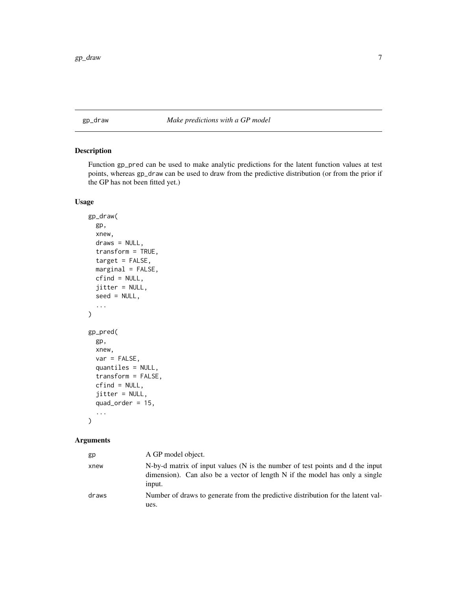#### <span id="page-6-2"></span><span id="page-6-0"></span>gp\_draw *Make predictions with a GP model*

# <span id="page-6-1"></span>Description

Function gp\_pred can be used to make analytic predictions for the latent function values at test points, whereas gp\_draw can be used to draw from the predictive distribution (or from the prior if the GP has not been fitted yet.)

# Usage

```
gp_draw(
  gp,
  xnew,
  draws = NULL,
  transform = TRUE,
  target = FALSE,marginal = FALSE,
  cfind = NULL,
  jitter = NULL,
  seed = NULL,
  ...
\mathcal{L}gp_pred(
  gp,
  xnew,
  var = FALSE,
  quantiles = NULL,
  transform = FALSE,
  cfind = NULL,
  jitter = NULL,
  quad_order = 15,
  ...
\mathcal{L}
```
# Arguments

| gp    | A GP model object.                                                                                                                                                     |
|-------|------------------------------------------------------------------------------------------------------------------------------------------------------------------------|
| xnew  | N-by-d matrix of input values (N is the number of test points and d the input<br>dimension). Can also be a vector of length N if the model has only a single<br>input. |
| draws | Number of draws to generate from the predictive distribution for the latent val-<br>ues.                                                                               |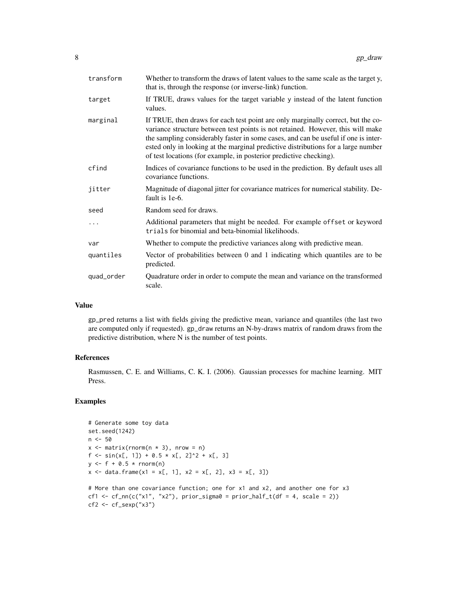| transform  | Whether to transform the draws of latent values to the same scale as the target y,<br>that is, through the response (or inverse-link) function.                                                                                                                                                                                                                                                                      |
|------------|----------------------------------------------------------------------------------------------------------------------------------------------------------------------------------------------------------------------------------------------------------------------------------------------------------------------------------------------------------------------------------------------------------------------|
| target     | If TRUE, draws values for the target variable y instead of the latent function<br>values.                                                                                                                                                                                                                                                                                                                            |
| marginal   | If TRUE, then draws for each test point are only marginally correct, but the co-<br>variance structure between test points is not retained. However, this will make<br>the sampling considerably faster in some cases, and can be useful if one is inter-<br>ested only in looking at the marginal predictive distributions for a large number<br>of test locations (for example, in posterior predictive checking). |
| cfind      | Indices of covariance functions to be used in the prediction. By default uses all<br>covariance functions.                                                                                                                                                                                                                                                                                                           |
| jitter     | Magnitude of diagonal jitter for covariance matrices for numerical stability. De-<br>fault is 1e-6.                                                                                                                                                                                                                                                                                                                  |
| seed       | Random seed for draws.                                                                                                                                                                                                                                                                                                                                                                                               |
|            | Additional parameters that might be needed. For example offset or keyword<br>trials for binomial and beta-binomial likelihoods.                                                                                                                                                                                                                                                                                      |
| var        | Whether to compute the predictive variances along with predictive mean.                                                                                                                                                                                                                                                                                                                                              |
| quantiles  | Vector of probabilities between 0 and 1 indicating which quantiles are to be<br>predicted.                                                                                                                                                                                                                                                                                                                           |
| quad_order | Quadrature order in order to compute the mean and variance on the transformed<br>scale.                                                                                                                                                                                                                                                                                                                              |

# Value

gp\_pred returns a list with fields giving the predictive mean, variance and quantiles (the last two are computed only if requested). gp\_draw returns an N-by-draws matrix of random draws from the predictive distribution, where N is the number of test points.

#### References

Rasmussen, C. E. and Williams, C. K. I. (2006). Gaussian processes for machine learning. MIT Press.

```
# Generate some toy data
set.seed(1242)
n <- 50
x \le matrix(rnorm(n \star 3), nrow = n)
f \leftarrow \sin(x[, 1]) + 0.5 \times x[, 2]^2 + x[, 3]y \le - f + 0.5 * \text{rnorm}(n)x \le - data.frame(x1 = x[, 1], x2 = x[, 2], x3 = x[, 3])
# More than one covariance function; one for x1 and x2, and another one for x3
cf1 <- cf_nn(c("x1", "x2"), prior_sigma0 = prior_half_t(df = 4, scale = 2))
cf2 \leftarrow cf\_sexp("x3")
```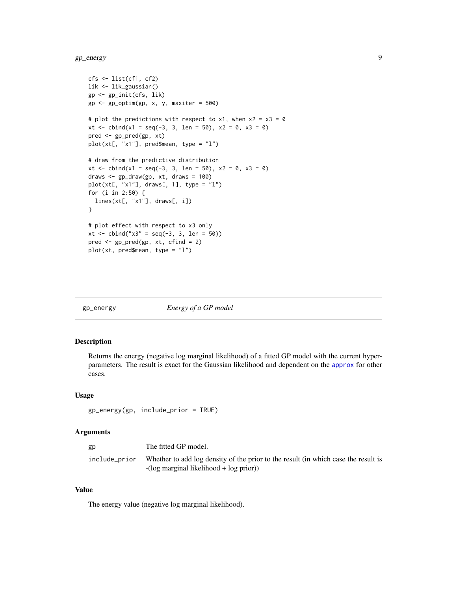<span id="page-8-0"></span> $gp$  energy  $9$ 

```
cfs <- list(cf1, cf2)
lik <- lik_gaussian()
gp <- gp_init(cfs, lik)
gp \leq gp\_optim(gp, x, y, maxiter = 500)# plot the predictions with respect to x1, when x2 = x3 = 0xt <- cbind(x1 = seq(-3, 3, len = 50), x2 = 0, x3 = 0)
pred <- gp_pred(gp, xt)
plot(xt[, "x1"], pred$mean, type = "l")
# draw from the predictive distribution
xt <- cbind(x1 = seq(-3, 3, len = 50), x2 = 0, x3 = 0)
draws \leq gp_draw(gp, xt, draws = 100)
plot(xt[, "x1"], draws[, 1], type = "l")
for (i in 2:50) {
  lines(xt[, "x1"], draws[, i])
}
# plot effect with respect to x3 only
xt <- cbind("x3" = seq(-3, 3, len = 50))
pred <- gp_pred(gp, xt, cfind = 2)
plot(xt, pred$mean, type = "l")
```
gp\_energy *Energy of a GP model*

#### Description

Returns the energy (negative log marginal likelihood) of a fitted GP model with the current hyperparameters. The result is exact for the Gaussian likelihood and dependent on the [approx](#page-1-1) for other cases.

#### Usage

gp\_energy(gp, include\_prior = TRUE)

#### Arguments

| gp            | The fitted GP model.                                                                                                             |
|---------------|----------------------------------------------------------------------------------------------------------------------------------|
| include_prior | Whether to add log density of the prior to the result (in which case the result is<br>$-(\log$ marginal likelihood + log prior)) |

#### Value

The energy value (negative log marginal likelihood).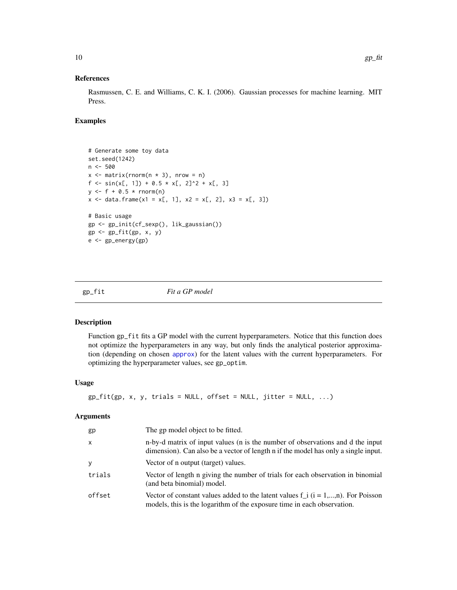#### <span id="page-9-0"></span>References

Rasmussen, C. E. and Williams, C. K. I. (2006). Gaussian processes for machine learning. MIT Press.

# Examples

```
# Generate some toy data
set.seed(1242)
n <- 500
x \le - matrix(rnorm(n * 3), nrow = n)
f \leftarrow \sin(x[, 1]) + 0.5 \times x[, 2]^2 + x[, 3]y \leftarrow f + 0.5 * \text{rnorm}(n)x \le - data.frame(x1 = x[, 1], x2 = x[, 2], x3 = x[, 3])
# Basic usage
gp <- gp_init(cf_sexp(), lik_gaussian())
gp <- gp_fit(gp, x, y)
e <- gp_energy(gp)
```
<span id="page-9-1"></span>gp\_fit *Fit a GP model*

#### Description

Function gp\_fit fits a GP model with the current hyperparameters. Notice that this function does not optimize the hyperparameters in any way, but only finds the analytical posterior approximation (depending on chosen [approx](#page-1-1)) for the latent values with the current hyperparameters. For optimizing the hyperparameter values, see gp\_optim.

# Usage

```
gp_fit(gp, x, y, trials = NULL, offset = NULL, jitter = NULL, ...)
```
#### Arguments

| gp           | The gp model object to be fitted.                                                                                                                                    |
|--------------|----------------------------------------------------------------------------------------------------------------------------------------------------------------------|
| $\mathsf{x}$ | n-by-d matrix of input values (n is the number of observations and d the input<br>dimension). Can also be a vector of length n if the model has only a single input. |
| <b>y</b>     | Vector of n output (target) values.                                                                                                                                  |
| trials       | Vector of length n giving the number of trials for each observation in binomial<br>(and beta binomial) model.                                                        |
| offset       | Vector of constant values added to the latent values $f_i$ ( $i = 1,,n$ ). For Poisson<br>models, this is the logarithm of the exposure time in each observation.    |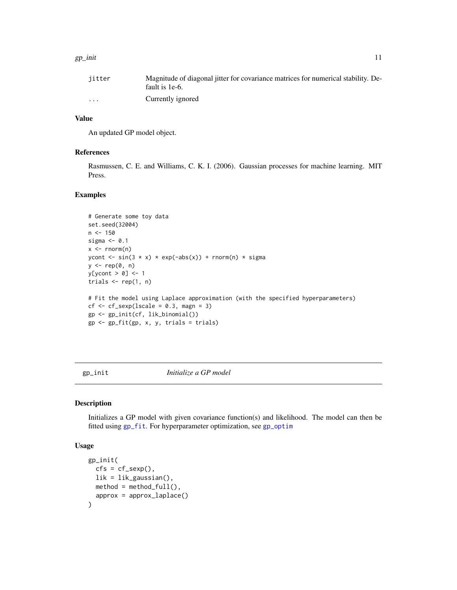#### <span id="page-10-0"></span> $g$ p\_init  $11$

# Value

An updated GP model object.

#### References

Rasmussen, C. E. and Williams, C. K. I. (2006). Gaussian processes for machine learning. MIT Press.

# Examples

```
# Generate some toy data
set.seed(32004)
n < -150sigma <-0.1x \leq -rnorm(n)ycont <- sin(3 \times x) \times exp(-abs(x)) + rnorm(n) \times sigmay \leftarrow rep(0, n)y[ycont > 0] <- 1
trials \leq rep(1, n)
# Fit the model using Laplace approximation (with the specified hyperparameters)
cf < -cf\_sexp(Iscale = 0.3, magn = 3)gp <- gp_init(cf, lik_binomial())
gp <- gp_fit(gp, x, y, trials = trials)
```
<span id="page-10-1"></span>gp\_init *Initialize a GP model*

#### Description

Initializes a GP model with given covariance function(s) and likelihood. The model can then be fitted using [gp\\_fit](#page-9-1). For hyperparameter optimization, see [gp\\_optim](#page-13-1)

# Usage

```
gp_init(
  cfs = cf\_sexp(),
  lik = lik_gaussian(),
 method = method_full(),approx = approx_laplace()
)
```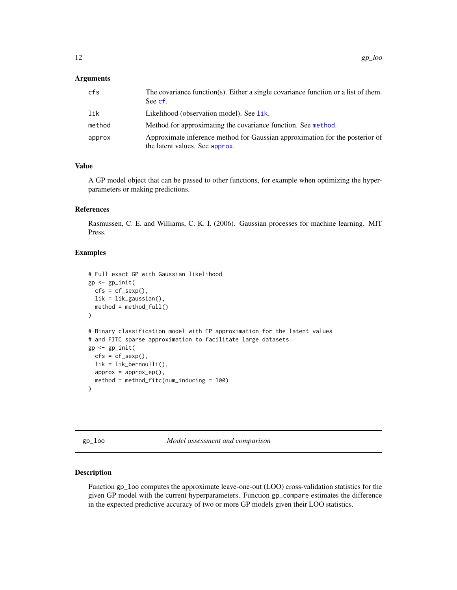# <span id="page-11-0"></span>Arguments

| cfs    | The covariance function(s). Either a single covariance function or a list of them.<br>See cf.                  |
|--------|----------------------------------------------------------------------------------------------------------------|
| lik    | Likelihood (observation model). See lik.                                                                       |
| method | Method for approximating the covariance function. See method.                                                  |
| approx | Approximate inference method for Gaussian approximation for the posterior of<br>the latent values. See approx. |

# Value

A GP model object that can be passed to other functions, for example when optimizing the hyperparameters or making predictions.

# References

Rasmussen, C. E. and Williams, C. K. I. (2006). Gaussian processes for machine learning. MIT Press.

#### Examples

```
# Full exact GP with Gaussian likelihood
gp <- gp_init(
 cfs = cf\_sexp(),
 lik = lik_gaussian(),
 method = method_full())
# Binary classification model with EP approximation for the latent values
# and FITC sparse approximation to facilitate large datasets
gp \leftarrow gp\_init(cfs = cf\_sexp(),
 lik = lik_bernoulli(),
 approx = approx_ep(),
 method = method_fitc(num_inducing = 100)
\mathcal{L}
```
<span id="page-11-1"></span>gp\_loo *Model assessment and comparison*

#### <span id="page-11-2"></span>Description

Function gp\_loo computes the approximate leave-one-out (LOO) cross-validation statistics for the given GP model with the current hyperparameters. Function gp\_compare estimates the difference in the expected predictive accuracy of two or more GP models given their LOO statistics.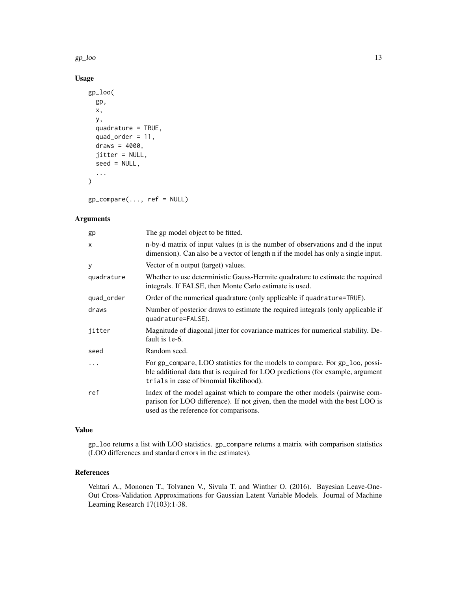$gp\_{loo}$  13

# Usage

```
gp_loo(
  gp,
  x,
  y,
  quadrature = TRUE,
  quad_order = 11,
  draws = 4000,
  jitter = NULL,
  seed = NULL,
  ...
)
```
gp\_compare(..., ref = NULL)

# Arguments

| The gp model object to be fitted.                                                                                                                                                                          |
|------------------------------------------------------------------------------------------------------------------------------------------------------------------------------------------------------------|
| n-by-d matrix of input values (n is the number of observations and d the input<br>dimension). Can also be a vector of length n if the model has only a single input.                                       |
| Vector of n output (target) values.                                                                                                                                                                        |
| Whether to use deterministic Gauss-Hermite quadrature to estimate the required<br>integrals. If FALSE, then Monte Carlo estimate is used.                                                                  |
| Order of the numerical quadrature (only applicable if quadrature=TRUE).                                                                                                                                    |
| Number of posterior draws to estimate the required integrals (only applicable if<br>quadrature=FALSE).                                                                                                     |
| Magnitude of diagonal jitter for covariance matrices for numerical stability. De-<br>fault is 1e-6.                                                                                                        |
| Random seed.                                                                                                                                                                                               |
| For gp_compare, LOO statistics for the models to compare. For gp_loo, possi-<br>ble additional data that is required for LOO predictions (for example, argument<br>trials in case of binomial likelihood). |
| Index of the model against which to compare the other models (pairwise com-<br>parison for LOO difference). If not given, then the model with the best LOO is<br>used as the reference for comparisons.    |
|                                                                                                                                                                                                            |

# Value

gp\_loo returns a list with LOO statistics. gp\_compare returns a matrix with comparison statistics (LOO differences and stardard errors in the estimates).

#### References

Vehtari A., Mononen T., Tolvanen V., Sivula T. and Winther O. (2016). Bayesian Leave-One-Out Cross-Validation Approximations for Gaussian Latent Variable Models. Journal of Machine Learning Research 17(103):1-38.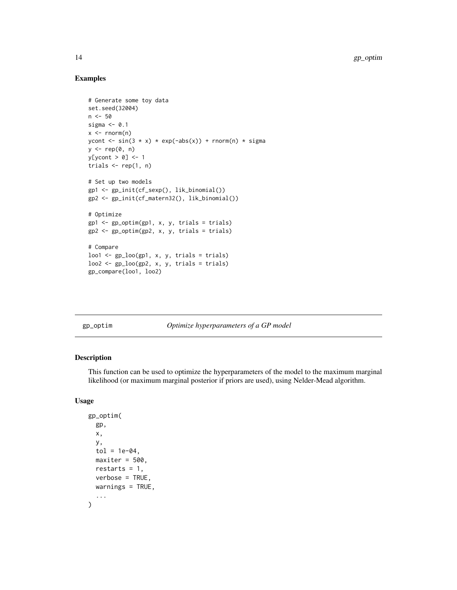# Examples

```
# Generate some toy data
set.seed(32004)
n < -50sigma <-0.1x \leq -rnorm(n)ycont <- sin(3 * x) * exp(-abs(x)) + rnorm(n) * sigma
y \leq -\operatorname{rep}(\emptyset, \mathsf{n})y[ycont > 0] <- 1
trials \leq rep(1, n)
# Set up two models
gp1 <- gp_init(cf_sexp(), lik_binomial())
gp2 <- gp_init(cf_matern32(), lik_binomial())
# Optimize
gp1 <- gp_optim(gp1, x, y, trials = trials)
gp2 <- gp_optim(gp2, x, y, trials = trials)
# Compare
loo1 \leftarrow gp\_loo(gp1, x, y, trials = trials)loo2 \leq gp_loo(gp2, x, y, trials = trials)gp_compare(loo1, loo2)
```
<span id="page-13-1"></span>

| gp_optim |  |  |  |
|----------|--|--|--|
|          |  |  |  |
|          |  |  |  |
|          |  |  |  |

n *Optimize hyperparameters of a GP model* 

# Description

This function can be used to optimize the hyperparameters of the model to the maximum marginal likelihood (or maximum marginal posterior if priors are used), using Nelder-Mead algorithm.

#### Usage

```
gp_optim(
  gp,
  x,
  y,
  tol = 1e-04,maxiter = 500.
  restarts = 1,
  verbose = TRUE,
  warnings = TRUE,
  ...
\mathcal{L}
```
<span id="page-13-0"></span>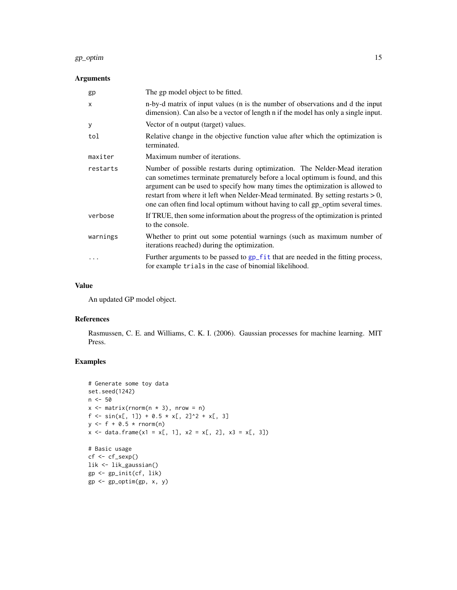#### <span id="page-14-0"></span>gp\_optim 15

# Arguments

| gp           | The gp model object to be fitted.                                                                                                                                                                                                                                                                                                                                                                                      |
|--------------|------------------------------------------------------------------------------------------------------------------------------------------------------------------------------------------------------------------------------------------------------------------------------------------------------------------------------------------------------------------------------------------------------------------------|
| $\mathsf{x}$ | n-by-d matrix of input values (n is the number of observations and d the input<br>dimension). Can also be a vector of length n if the model has only a single input.                                                                                                                                                                                                                                                   |
| У            | Vector of n output (target) values.                                                                                                                                                                                                                                                                                                                                                                                    |
| tol          | Relative change in the objective function value after which the optimization is<br>terminated.                                                                                                                                                                                                                                                                                                                         |
| maxiter      | Maximum number of iterations.                                                                                                                                                                                                                                                                                                                                                                                          |
| restarts     | Number of possible restarts during optimization. The Nelder-Mead iteration<br>can sometimes terminate prematurely before a local optimum is found, and this<br>argument can be used to specify how many times the optimization is allowed to<br>restart from where it left when Nelder-Mead terminated. By setting restarts $> 0$ ,<br>one can often find local optimum without having to call gp_optim several times. |
| verbose      | If TRUE, then some information about the progress of the optimization is printed<br>to the console.                                                                                                                                                                                                                                                                                                                    |
| warnings     | Whether to print out some potential warnings (such as maximum number of<br>iterations reached) during the optimization.                                                                                                                                                                                                                                                                                                |
|              | Further arguments to be passed to gp_fit that are needed in the fitting process,<br>for example trials in the case of binomial likelihood.                                                                                                                                                                                                                                                                             |

# Value

An updated GP model object.

# References

Rasmussen, C. E. and Williams, C. K. I. (2006). Gaussian processes for machine learning. MIT Press.

```
# Generate some toy data
set.seed(1242)
n <- 50
x \le - matrix(rnorm(n * 3), nrow = n)
f \leftarrow \sin(x[, 1]) + 0.5 \times x[, 2]^2 + x[, 3]y \leftarrow f + 0.5 * \text{rnorm}(n)x \le - data.frame(x1 = x[, 1], x2 = x[, 2], x3 = x[, 3])
# Basic usage
cf <- cf_sexp()
lik <- lik_gaussian()
gp <- gp_init(cf, lik)
gp <- gp_optim(gp, x, y)
```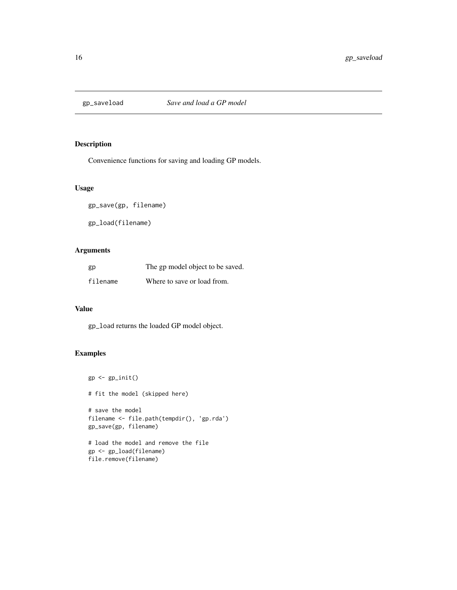<span id="page-15-0"></span>

# Description

Convenience functions for saving and loading GP models.

# Usage

gp\_save(gp, filename)

gp\_load(filename)

# Arguments

| gp       | The gp model object to be saved. |
|----------|----------------------------------|
| filename | Where to save or load from.      |

# Value

gp\_load returns the loaded GP model object.

```
gp \leftarrow gp\_init()# fit the model (skipped here)
# save the model
filename <- file.path(tempdir(), 'gp.rda')
gp_save(gp, filename)
# load the model and remove the file
gp <- gp_load(filename)
file.remove(filename)
```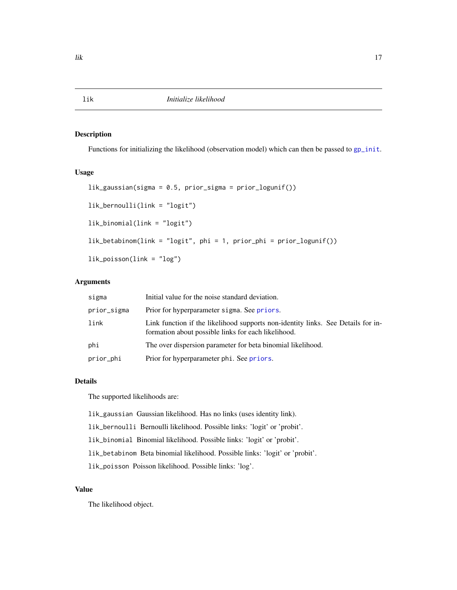# Description

Functions for initializing the likelihood (observation model) which can then be passed to [gp\\_init](#page-10-1).

# Usage

```
lik_gaussian(sigma = 0.5, prior_sigma = prior_logunif())
lik_bernoulli(link = "logit")
lik_binomial(link = "logit")
lik_betabinom(link = "logit", phi = 1, prior_phi = prior_logunif())
lik_poisson(link = "log")
```
# Arguments

| sigma       | Initial value for the noise standard deviation.                                                                                         |
|-------------|-----------------------------------------------------------------------------------------------------------------------------------------|
| prior_sigma | Prior for hyperparameter sigma. See priors.                                                                                             |
| link        | Link function if the likelihood supports non-identity links. See Details for in-<br>formation about possible links for each likelihood. |
| phi         | The over dispersion parameter for beta binomial likelihood.                                                                             |
| prior_phi   | Prior for hyperparameter phi. See priors.                                                                                               |

# Details

The supported likelihoods are:

lik\_gaussian Gaussian likelihood. Has no links (uses identity link).

lik\_bernoulli Bernoulli likelihood. Possible links: 'logit' or 'probit'.

lik\_binomial Binomial likelihood. Possible links: 'logit' or 'probit'.

lik\_betabinom Beta binomial likelihood. Possible links: 'logit' or 'probit'.

lik\_poisson Poisson likelihood. Possible links: 'log'.

# Value

The likelihood object.

<span id="page-16-1"></span><span id="page-16-0"></span>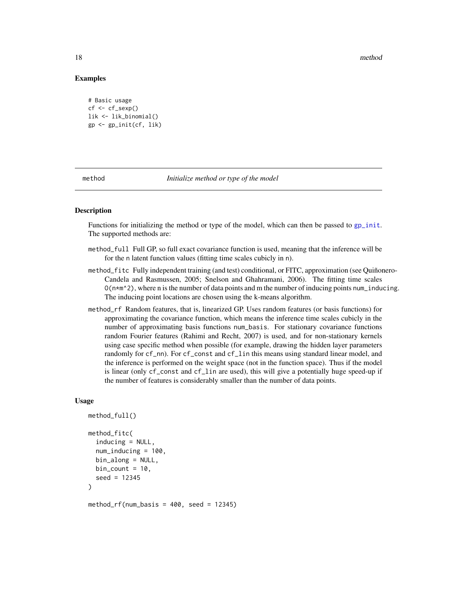18 method and the state of the state of the state of the state of the state of the state of the state of the state of the state of the state of the state of the state of the state of the state of the state of the state of

### Examples

```
# Basic usage
cf \leftarrow cf\_sexp()lik <- lik_binomial()
gp <- gp_init(cf, lik)
```
<span id="page-17-1"></span>

#### method *Initialize method or type of the model*

# Description

Functions for initializing the method or type of the model, which can then be passed to [gp\\_init](#page-10-1). The supported methods are:

- method\_full Full GP, so full exact covariance function is used, meaning that the inference will be for the n latent function values (fitting time scales cubicly in n).
- method\_fitc Fully independent training (and test) conditional, or FITC, approximation (see Quiñonero-Candela and Rasmussen, 2005; Snelson and Ghahramani, 2006). The fitting time scales  $O(n*m^2)$ , where n is the number of data points and m the number of inducing points num\_inducing. The inducing point locations are chosen using the k-means algorithm.
- method\_rf Random features, that is, linearized GP. Uses random features (or basis functions) for approximating the covariance function, which means the inference time scales cubicly in the number of approximating basis functions num\_basis. For stationary covariance functions random Fourier features (Rahimi and Recht, 2007) is used, and for non-stationary kernels using case specific method when possible (for example, drawing the hidden layer parameters randomly for cf\_nn). For cf\_const and cf\_lin this means using standard linear model, and the inference is performed on the weight space (not in the function space). Thus if the model is linear (only cf\_const and cf\_lin are used), this will give a potentially huge speed-up if the number of features is considerably smaller than the number of data points.

#### Usage

```
method_full()
method_fitc(
  inducing = NULL,
  num_inducing = 100,
  bin_along = NULL,
 bin\_count = 10,
  seed = 12345
)
```
method\_rf(num\_basis =  $400$ , seed =  $12345$ )

<span id="page-17-0"></span>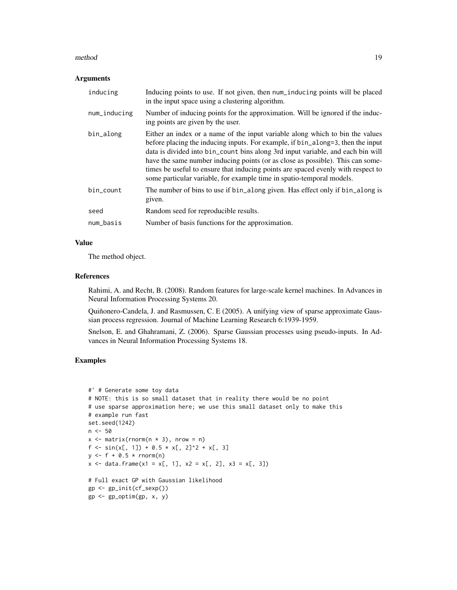#### method and the contract of the contract of the contract of the contract of the contract of the contract of the contract of the contract of the contract of the contract of the contract of the contract of the contract of the

#### Arguments

| inducing     | Inducing points to use. If not given, then num_inducing points will be placed<br>in the input space using a clustering algorithm.                                                                                                                                                                                                                                                                                                                                                                  |
|--------------|----------------------------------------------------------------------------------------------------------------------------------------------------------------------------------------------------------------------------------------------------------------------------------------------------------------------------------------------------------------------------------------------------------------------------------------------------------------------------------------------------|
| num_inducing | Number of inducing points for the approximation. Will be ignored if the induc-<br>ing points are given by the user.                                                                                                                                                                                                                                                                                                                                                                                |
| bin_along    | Either an index or a name of the input variable along which to bin the values<br>before placing the inducing inputs. For example, if bin_along=3, then the input<br>data is divided into bin_count bins along 3rd input variable, and each bin will<br>have the same number inducing points (or as close as possible). This can some-<br>times be useful to ensure that inducing points are spaced evenly with respect to<br>some particular variable, for example time in spatio-temporal models. |
| bin_count    | The number of bins to use if bin_along given. Has effect only if bin_along is<br>given.                                                                                                                                                                                                                                                                                                                                                                                                            |
| seed         | Random seed for reproducible results.                                                                                                                                                                                                                                                                                                                                                                                                                                                              |
| num_basis    | Number of basis functions for the approximation.                                                                                                                                                                                                                                                                                                                                                                                                                                                   |

# Value

The method object.

# References

Rahimi, A. and Recht, B. (2008). Random features for large-scale kernel machines. In Advances in Neural Information Processing Systems 20.

Quiñonero-Candela, J. and Rasmussen, C. E (2005). A unifying view of sparse approximate Gaussian process regression. Journal of Machine Learning Research 6:1939-1959.

Snelson, E. and Ghahramani, Z. (2006). Sparse Gaussian processes using pseudo-inputs. In Advances in Neural Information Processing Systems 18.

```
#' # Generate some toy data
# NOTE: this is so small dataset that in reality there would be no point
# use sparse approximation here; we use this small dataset only to make this
# example run fast
set.seed(1242)
n <- 50
x \le matrix(rnorm(n \star 3), nrow = n)
f \leftarrow \sin(x[, 1]) + 0.5 \times x[, 2]^2 + x[, 3]y \le - f + 0.5 * \text{rnorm}(n)x \le - data.frame(x1 = x[, 1], x2 = x[, 2], x3 = x[, 3])
# Full exact GP with Gaussian likelihood
gp <- gp_init(cf_sexp())
gp <- gp_optim(gp, x, y)
```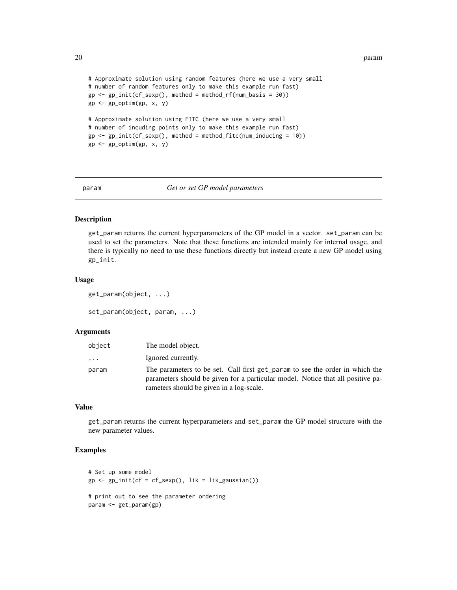20 parameters and the set of the set of the set of the set of the set of the set of the set of the set of the set of the set of the set of the set of the set of the set of the set of the set of the set of the set of the se

```
# Approximate solution using random features (here we use a very small
# number of random features only to make this example run fast)
gp \leftarrow gp\_init(cf\_sexp(), method = method_rf(num_basis = 30))gp <- gp_optim(gp, x, y)
# Approximate solution using FITC (here we use a very small
# number of incuding points only to make this example run fast)
gp \leftarrow gp\_init(cf\_sexp(), method = method_fitch(num\_inducing = 10))gp \leftarrow gp\_optim(gp, x, y)
```
#### param *Get or set GP model parameters*

#### Description

get\_param returns the current hyperparameters of the GP model in a vector. set\_param can be used to set the parameters. Note that these functions are intended mainly for internal usage, and there is typically no need to use these functions directly but instead create a new GP model using gp\_init.

#### Usage

```
get_param(object, ...)
set_param(object, param, ...)
```
#### Arguments

| object | The model object.                                                                                                                                                                                           |
|--------|-------------------------------------------------------------------------------------------------------------------------------------------------------------------------------------------------------------|
| .      | Ignored currently.                                                                                                                                                                                          |
| param  | The parameters to be set. Call first get param to see the order in which the<br>parameters should be given for a particular model. Notice that all positive pa-<br>rameters should be given in a log-scale. |

#### Value

get\_param returns the current hyperparameters and set\_param the GP model structure with the new parameter values.

```
# Set up some model
gp \leftarrow gp\_init(cf = cf\_sexp(), lik = lik\_gaussian())# print out to see the parameter ordering
param <- get_param(gp)
```
<span id="page-19-0"></span>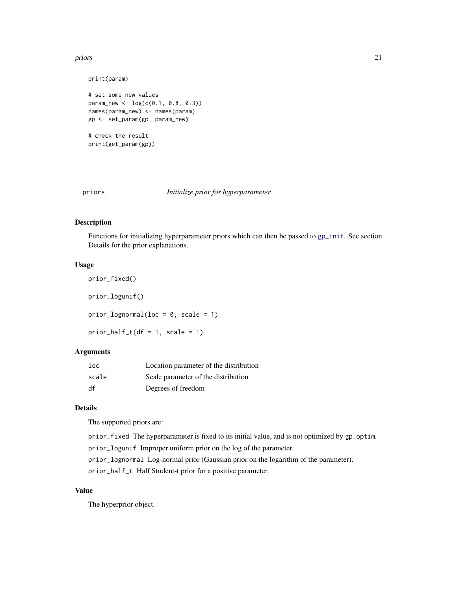#### <span id="page-20-0"></span>priors 21

```
print(param)
# set some new values
param_new <- log(c(0.1, 0.8, 0.3))names(param_new) <- names(param)
gp <- set_param(gp, param_new)
# check the result
print(get_param(gp))
```
<span id="page-20-1"></span>

#### priors *Initialize prior for hyperparameter*

# Description

Functions for initializing hyperparameter priors which can then be passed to [gp\\_init](#page-10-1). See section Details for the prior explanations.

#### Usage

```
prior_fixed()
prior_logunif()
prior_lognormal(loc = 0, scale = 1)
prior\_half\_t(df = 1, scale = 1)
```
# Arguments

| $1$ oc | Location parameter of the distribution |
|--------|----------------------------------------|
| scale  | Scale parameter of the distribution    |
| df     | Degrees of freedom                     |

# Details

The supported priors are:

prior\_fixed The hyperparameter is fixed to its initial value, and is not optimized by gp\_optim.

prior\_logunif Improper uniform prior on the log of the parameter.

prior\_lognormal Log-normal prior (Gaussian prior on the logarithm of the parameter).

prior\_half\_t Half Student-t prior for a positive parameter.

# Value

The hyperprior object.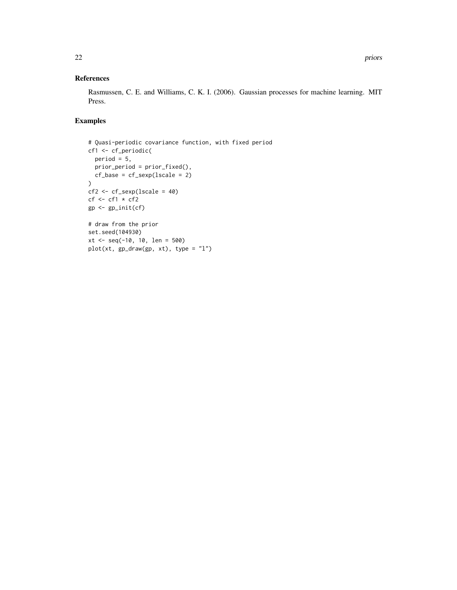# References

Rasmussen, C. E. and Williams, C. K. I. (2006). Gaussian processes for machine learning. MIT Press.

```
# Quasi-periodic covariance function, with fixed period
cf1 <- cf_periodic(
 period = 5,
  prior_period = prior_fixed(),
  cf\_base = cf\_sexp(Iscale = 2))
cf2 < -cf\_sexp(Iscale = 40)cf <- cf1 * cf2gp <- gp_init(cf)
# draw from the prior
set.seed(104930)
xt <- seq(-10, 10, len = 500)
plot(xt, gp_draw(gp, xt), type = "l")
```